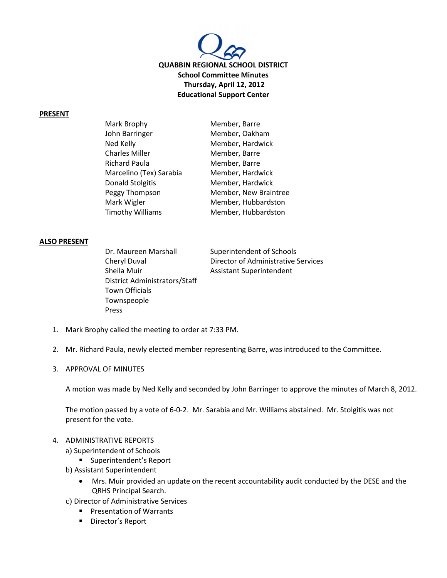

### **PRESENT**

| Mark Brophy             | Member, Barre         |
|-------------------------|-----------------------|
| John Barringer          | Member, Oakham        |
| Ned Kelly               | Member, Hardwick      |
| <b>Charles Miller</b>   | Member, Barre         |
| Richard Paula           | Member, Barre         |
| Marcelino (Tex) Sarabia | Member, Hardwick      |
| Donald Stolgitis        | Member, Hardwick      |
| Peggy Thompson          | Member, New Braintree |
| Mark Wigler             | Member, Hubbardston   |
| Timothy Williams        | Member, Hubbardston   |

### **ALSO PRESENT**

Sheila Muir **Assistant Superintendent** District Administrators/Staff Town Officials Townspeople Press

Dr. Maureen Marshall Superintendent of Schools Cheryl Duval Director of Administrative Services

- 1. Mark Brophy called the meeting to order at 7:33 PM.
- 2. Mr. Richard Paula, newly elected member representing Barre, was introduced to the Committee.
- 3. APPROVAL OF MINUTES

A motion was made by Ned Kelly and seconded by John Barringer to approve the minutes of March 8, 2012.

The motion passed by a vote of 6-0-2. Mr. Sarabia and Mr. Williams abstained. Mr. Stolgitis was not present for the vote.

### 4. ADMINISTRATIVE REPORTS

- a) Superintendent of Schools
	- **Superintendent's Report**
- b) Assistant Superintendent
	- Mrs. Muir provided an update on the recent accountability audit conducted by the DESE and the QRHS Principal Search.
- c) Director of Administrative Services
	- **Presentation of Warrants**
	- **Director's Report**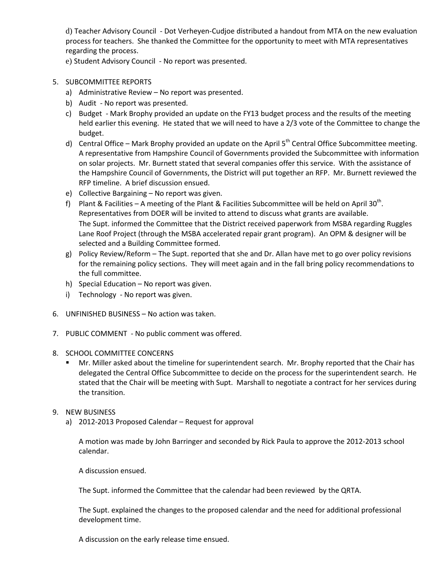d) Teacher Advisory Council - Dot Verheyen-Cudjoe distributed a handout from MTA on the new evaluation process for teachers. She thanked the Committee for the opportunity to meet with MTA representatives regarding the process.

e) Student Advisory Council - No report was presented.

# 5. SUBCOMMITTEE REPORTS

- a) Administrative Review No report was presented.
- b) Audit No report was presented.
- c) Budget Mark Brophy provided an update on the FY13 budget process and the results of the meeting held earlier this evening. He stated that we will need to have a 2/3 vote of the Committee to change the budget.
- d) Central Office Mark Brophy provided an update on the April  $5<sup>th</sup>$  Central Office Subcommittee meeting. A representative from Hampshire Council of Governments provided the Subcommittee with information on solar projects. Mr. Burnett stated that several companies offer this service. With the assistance of the Hampshire Council of Governments, the District will put together an RFP. Mr. Burnett reviewed the RFP timeline. A brief discussion ensued.
- e) Collective Bargaining No report was given.
- f) Plant & Facilities A meeting of the Plant & Facilities Subcommittee will be held on April 30<sup>th</sup>. Representatives from DOER will be invited to attend to discuss what grants are available. The Supt. informed the Committee that the District received paperwork from MSBA regarding Ruggles Lane Roof Project (through the MSBA accelerated repair grant program). An OPM & designer will be selected and a Building Committee formed.
- g) Policy Review/Reform The Supt. reported that she and Dr. Allan have met to go over policy revisions for the remaining policy sections. They will meet again and in the fall bring policy recommendations to the full committee.
- h) Special Education No report was given.
- i) Technology No report was given.
- 6. UNFINISHED BUSINESS No action was taken.
- 7. PUBLIC COMMENT No public comment was offered.

## 8. SCHOOL COMMITTEE CONCERNS

 Mr. Miller asked about the timeline for superintendent search. Mr. Brophy reported that the Chair has delegated the Central Office Subcommittee to decide on the process for the superintendent search. He stated that the Chair will be meeting with Supt. Marshall to negotiate a contract for her services during the transition.

## 9. NEW BUSINESS

a) 2012-2013 Proposed Calendar – Request for approval

A motion was made by John Barringer and seconded by Rick Paula to approve the 2012-2013 school calendar.

A discussion ensued.

The Supt. informed the Committee that the calendar had been reviewed by the QRTA.

The Supt. explained the changes to the proposed calendar and the need for additional professional development time.

A discussion on the early release time ensued.